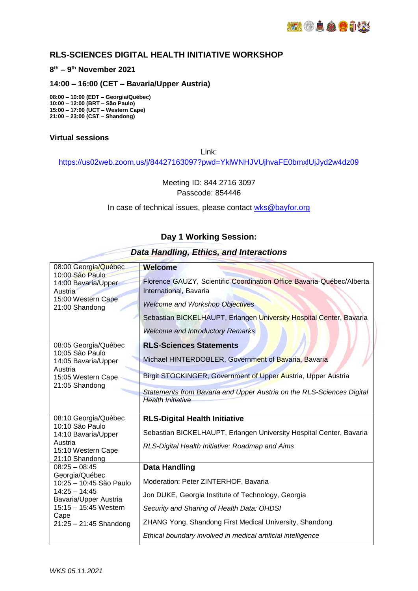## **RLS-SCIENCES DIGITAL HEALTH INITIATIVE WORKSHOP**

#### **8 th – 9 th November 2021**

### **14:00 – 16:00 (CET – Bavaria/Upper Austria)**

**08:00 – 10:00 (EDT – Georgia/Québec) 10:00 – 12:00 (BRT – São Paulo) 15:00 – 17:00 (UCT – Western Cape) 21:00 – 23:00 (CST – Shandong)** 

#### **Virtual sessions**

Link:

<https://us02web.zoom.us/j/84427163097?pwd=YklWNHJVUjhvaFE0bmxlUjJyd2w4dz09>

Meeting ID: 844 2716 3097 Passcode: 854446

In case of technical issues, please contact [wks@bayfor.org](mailto:wks@bayfor.org)

### **Day 1 Working Session:**

| 08:00 Georgia/Québec<br>10:00 São Paulo<br>14:00 Bavaria/Upper<br>Austria<br>15:00 Western Cape<br>21:00 Shandong                                                     | <b>Welcome</b><br>Florence GAUZY, Scientific Coordination Office Bavaria-Québec/Alberta<br>International, Bavaria<br><b>Welcome and Workshop Objectives</b><br>Sebastian BICKELHAUPT, Erlangen University Hospital Center, Bavaria<br><b>Welcome and Introductory Remarks</b> |
|-----------------------------------------------------------------------------------------------------------------------------------------------------------------------|-------------------------------------------------------------------------------------------------------------------------------------------------------------------------------------------------------------------------------------------------------------------------------|
| 08:05 Georgia/Québec<br>10:05 São Paulo<br>14:05 Bavaria/Upper<br>Austria<br>15:05 Western Cape<br>21:05 Shandong                                                     | <b>RLS-Sciences Statements</b><br>Michael HINTERDOBLER, Government of Bavaria, Bavaria                                                                                                                                                                                        |
|                                                                                                                                                                       | Birgit STOCKINGER, Government of Upper Austria, Upper Austria                                                                                                                                                                                                                 |
|                                                                                                                                                                       | Statements from Bavaria and Upper Austria on the RLS-Sciences Digital<br><b>Health Initiative</b>                                                                                                                                                                             |
| 08:10 Georgia/Québec<br>10:10 São Paulo<br>14:10 Bavaria/Upper<br>Austria<br>15:10 Western Cape<br>21:10 Shandong                                                     | <b>RLS-Digital Health Initiative</b>                                                                                                                                                                                                                                          |
|                                                                                                                                                                       | Sebastian BICKELHAUPT, Erlangen University Hospital Center, Bavaria                                                                                                                                                                                                           |
|                                                                                                                                                                       | RLS-Digital Health Initiative: Roadmap and Aims                                                                                                                                                                                                                               |
| $08:25 - 08:45$<br>Georgia/Québec<br>10:25 - 10:45 São Paulo<br>$14:25 - 14:45$<br>Bavaria/Upper Austria<br>15:15 - 15:45 Western<br>Cape<br>$21:25 - 21:45$ Shandong | <b>Data Handling</b>                                                                                                                                                                                                                                                          |
|                                                                                                                                                                       | Moderation: Peter ZINTERHOF, Bavaria                                                                                                                                                                                                                                          |
|                                                                                                                                                                       | Jon DUKE, Georgia Institute of Technology, Georgia                                                                                                                                                                                                                            |
|                                                                                                                                                                       | Security and Sharing of Health Data: OHDSI                                                                                                                                                                                                                                    |
|                                                                                                                                                                       | ZHANG Yong, Shandong First Medical University, Shandong                                                                                                                                                                                                                       |
|                                                                                                                                                                       | Ethical boundary involved in medical artificial intelligence                                                                                                                                                                                                                  |

#### *Data Handling, Ethics, and Interactions*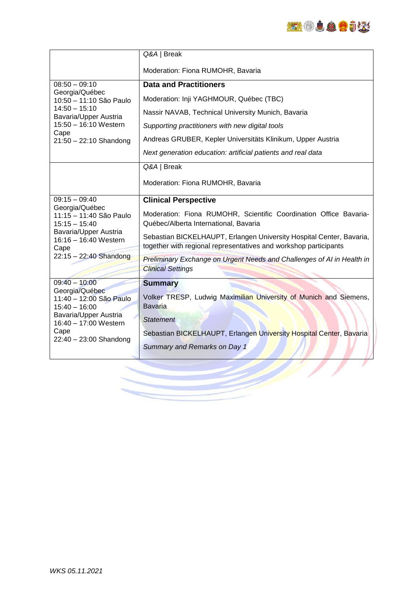

|                                                                                                                                                                       | Q&A / Break                                                                                                                              |
|-----------------------------------------------------------------------------------------------------------------------------------------------------------------------|------------------------------------------------------------------------------------------------------------------------------------------|
|                                                                                                                                                                       | Moderation: Fiona RUMOHR, Bavaria                                                                                                        |
| $08:50 - 09:10$<br>Georgia/Québec<br>10:50 - 11:10 São Paulo<br>$14:50 - 15:10$<br>Bavaria/Upper Austria<br>15:50 - 16:10 Western<br>Cape<br>$21:50 - 22:10$ Shandong | <b>Data and Practitioners</b>                                                                                                            |
|                                                                                                                                                                       | Moderation: Inji YAGHMOUR, Québec (TBC)                                                                                                  |
|                                                                                                                                                                       | Nassir NAVAB, Technical University Munich, Bavaria                                                                                       |
|                                                                                                                                                                       | Supporting practitioners with new digital tools                                                                                          |
|                                                                                                                                                                       | Andreas GRUBER, Kepler Universitäts Klinikum, Upper Austria                                                                              |
|                                                                                                                                                                       | Next generation education: artificial patients and real data                                                                             |
|                                                                                                                                                                       | Q&A / Break                                                                                                                              |
|                                                                                                                                                                       | Moderation: Fiona RUMOHR, Bavaria                                                                                                        |
| $09:15 - 09:40$<br>Georgia/Québec<br>11:15 - 11:40 São Paulo<br>$15:15 - 15:40$<br>Bavaria/Upper Austria<br>16:16 - 16:40 Western<br>Cape<br>22:15 - 22:40 Shandong   | <b>Clinical Perspective</b>                                                                                                              |
|                                                                                                                                                                       | Moderation: Fiona RUMOHR, Scientific Coordination Office Bavaria-<br>Québec/Alberta International, Bavaria                               |
|                                                                                                                                                                       | Sebastian BICKELHAUPT, Erlangen University Hospital Center, Bavaria,<br>together with regional representatives and workshop participants |
|                                                                                                                                                                       | <b>Preliminary Exchange on Urgent Needs and Challenges of AI in Health in</b><br><b>Clinical Settings</b>                                |
| $09:40 - 10:00$                                                                                                                                                       | <b>Summary</b>                                                                                                                           |
| Georgia/Québec<br>11:40 - 12:00 São Paulo<br>$15:40 - 16:00$<br>Bavaria/Upper Austria<br>16:40 - 17:00 Western<br>Cape<br>$22:40 - 23:00$ Shandong                    | Volker TRESP, Ludwig Maximilian University of Munich and Siemens,<br><b>Bavaria</b><br><b>Statement</b>                                  |
|                                                                                                                                                                       | Sebastian BICKELHAUPT, Erlangen University Hospital Center, Bavaria                                                                      |
|                                                                                                                                                                       | Summary and Remarks on Day 1                                                                                                             |
|                                                                                                                                                                       |                                                                                                                                          |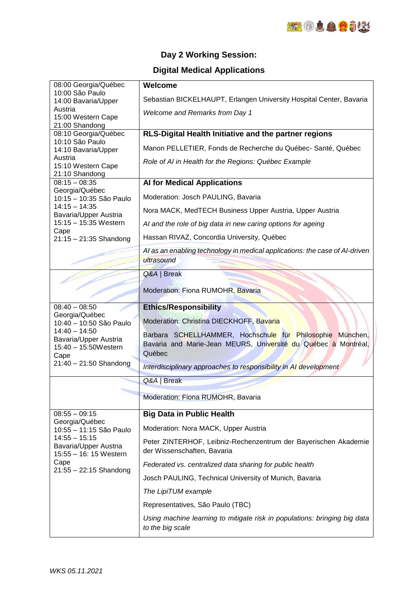

# **Day 2 Working Session:**

# **Digital Medical Applications**

| 08:00 Georgia/Québec<br>10:00 São Paulo                        | Welcome                                                                     |
|----------------------------------------------------------------|-----------------------------------------------------------------------------|
| 14:00 Bavaria/Upper                                            | Sebastian BICKELHAUPT, Erlangen University Hospital Center, Bavaria         |
| Austria<br>15:00 Western Cape                                  | Welcome and Remarks from Day 1                                              |
| 21:00 Shandong                                                 |                                                                             |
| 08:10 Georgia/Québec<br>10:10 São Paulo<br>14:10 Bavaria/Upper | RLS-Digital Health Initiative and the partner regions                       |
|                                                                | Manon PELLETIER, Fonds de Recherche du Québec- Santé, Québec                |
| Austria                                                        | Role of AI in Health for the Regions: Québec Example                        |
| 15:10 Western Cape                                             |                                                                             |
| 21:10 Shandong<br>$08:15 - 08:35$<br>Georgia/Québec            | <b>Al for Medical Applications</b>                                          |
|                                                                | Moderation: Josch PAULING, Bavaria                                          |
| 10:15 - 10:35 São Paulo<br>$14:15 - 14:35$                     |                                                                             |
| Bavaria/Upper Austria                                          | Nora MACK, MedTECH Business Upper Austria, Upper Austria                    |
| 15:15 - 15:35 Western<br>Cape<br>$21:15 - 21:35$ Shandong      | Al and the role of big data in new caring options for ageing                |
|                                                                | Hassan RIVAZ, Concordia University, Québec                                  |
|                                                                | AI as an enabling technology in medical applications: the case of AI-driven |
|                                                                | ultrasound                                                                  |
|                                                                | Q&A / Break                                                                 |
|                                                                | Moderation: Fiona RUMOHR, Bavaria                                           |
|                                                                |                                                                             |
| $08:40 - 08:50$                                                | <b>Ethics/Responsibility</b>                                                |
| Georgia/Québec<br>10:40 - 10:50 São Paulo                      | Moderation: Christina DIECKHOFF, Bavaria                                    |
| $14:40 - 14:50$                                                | Barbara SCHELLHAMMER, Hochschule für Philosophie München,                   |
| Bavaria/Upper Austria<br>15:40 - 15:50Western                  | Bavaria and Marie-Jean MEURS, Université du Québec à Montréal,              |
| Cape                                                           | Québec                                                                      |
| $21:40 - 21:50$ Shandong                                       | Interdisciplinary approaches to responsibility in AI development            |
|                                                                | Q&A / Break                                                                 |
|                                                                | Moderation: Fiona RUMOHR, Bavaria                                           |
|                                                                |                                                                             |
|                                                                |                                                                             |
| $08:55 - 09:15$                                                | <b>Big Data in Public Health</b>                                            |
| Georgia/Québec<br>10:55 - 11:15 São Paulo                      | Moderation: Nora MACK, Upper Austria                                        |
| $14:55 - 15:15$                                                | Peter ZINTERHOF, Leibniz-Rechenzentrum der Bayerischen Akademie             |
| Bavaria/Upper Austria<br>15:55 - 16: 15 Western                | der Wissenschaften, Bavaria                                                 |
| Cape                                                           | Federated vs. centralized data sharing for public health                    |
| $21:55 - 22:15$ Shandong                                       | Josch PAULING, Technical University of Munich, Bavaria                      |
|                                                                | The LipiTUM example                                                         |
|                                                                | Representatives, São Paulo (TBC)                                            |
|                                                                | Using machine learning to mitigate risk in populations: bringing big data   |
|                                                                | to the big scale                                                            |